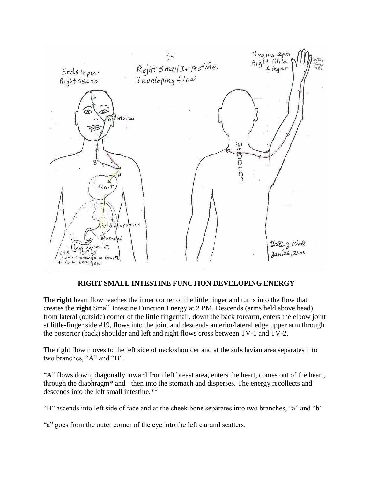

## **RIGHT SMALL INTESTINE FUNCTION DEVELOPING ENERGY**

The **right** heart flow reaches the inner corner of the little finger and turns into the flow that creates the **right** Small Intestine Function Energy at 2 PM. Descends (arms held above head) from lateral (outside) corner of the little fingernail, down the back forearm, enters the elbow joint at little-finger side #19, flows into the joint and descends anterior/lateral edge upper arm through the posterior (back) shoulder and left and right flows cross between TV-1 and TV-2.

The right flow moves to the left side of neck/shoulder and at the subclavian area separates into two branches, "A" and "B".

"A" flows down, diagonally inward from left breast area, enters the heart, comes out of the heart, through the diaphragm\* and then into the stomach and disperses. The energy recollects and descends into the left small intestine.\*\*

"B" ascends into left side of face and at the cheek bone separates into two branches, "a" and "b"

"a" goes from the outer corner of the eye into the left ear and scatters.